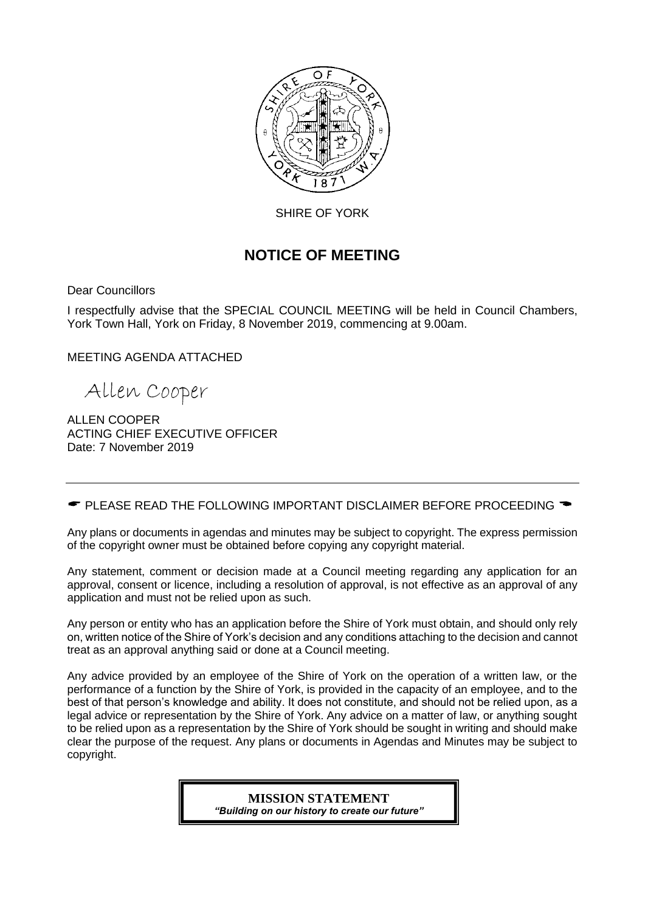

SHIRE OF YORK

# **NOTICE OF MEETING**

Dear Councillors

I respectfully advise that the SPECIAL COUNCIL MEETING will be held in Council Chambers, York Town Hall, York on Friday, 8 November 2019, commencing at 9.00am.

MEETING AGENDA ATTACHED

Allen Cooper

ALLEN COOPER ACTING CHIEF EXECUTIVE OFFICER Date: 7 November 2019

 $\bullet$  PLEASE READ THE FOLLOWING IMPORTANT DISCLAIMER BEFORE PROCEEDING  $\bullet$ 

Any plans or documents in agendas and minutes may be subject to copyright. The express permission of the copyright owner must be obtained before copying any copyright material.

Any statement, comment or decision made at a Council meeting regarding any application for an approval, consent or licence, including a resolution of approval, is not effective as an approval of any application and must not be relied upon as such.

Any person or entity who has an application before the Shire of York must obtain, and should only rely on, written notice of the Shire of York's decision and any conditions attaching to the decision and cannot treat as an approval anything said or done at a Council meeting.

Any advice provided by an employee of the Shire of York on the operation of a written law, or the performance of a function by the Shire of York, is provided in the capacity of an employee, and to the best of that person's knowledge and ability. It does not constitute, and should not be relied upon, as a legal advice or representation by the Shire of York. Any advice on a matter of law, or anything sought to be relied upon as a representation by the Shire of York should be sought in writing and should make clear the purpose of the request. Any plans or documents in Agendas and Minutes may be subject to copyright.

> **MISSION STATEMENT** *"Building on our history to create our future"*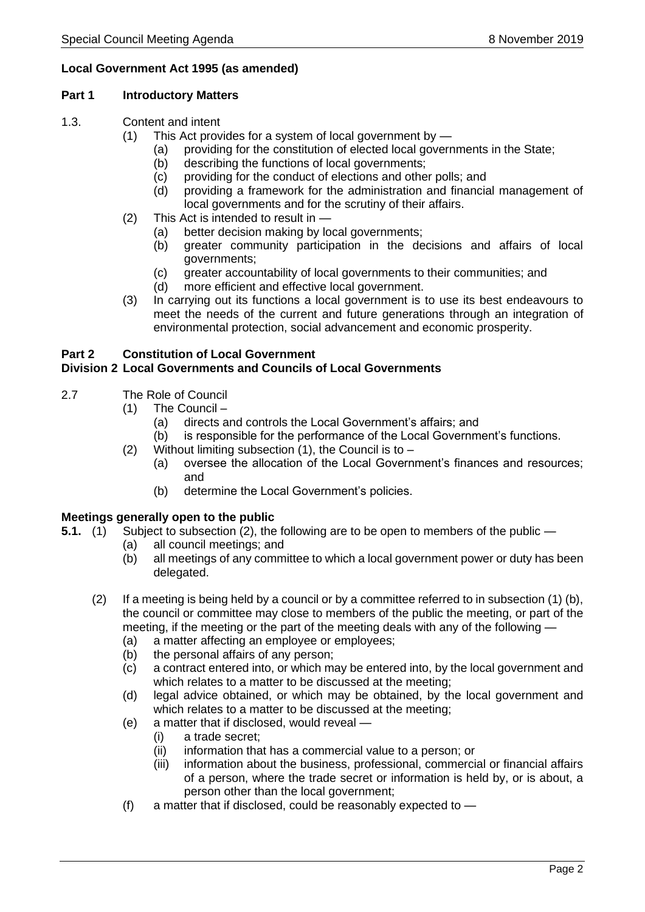### **Local Government Act 1995 (as amended)**

#### **Part 1 Introductory Matters**

- 1.3. Content and intent
	- (1) This Act provides for a system of local government by
		- (a) providing for the constitution of elected local governments in the State;
		- (b) describing the functions of local governments;
		- (c) providing for the conduct of elections and other polls; and
		- (d) providing a framework for the administration and financial management of local governments and for the scrutiny of their affairs.
	- (2) This Act is intended to result in
		- (a) better decision making by local governments;
		- (b) greater community participation in the decisions and affairs of local governments;
		- (c) greater accountability of local governments to their communities; and
		- (d) more efficient and effective local government.
	- (3) In carrying out its functions a local government is to use its best endeavours to meet the needs of the current and future generations through an integration of environmental protection, social advancement and economic prosperity.

# **Part 2 Constitution of Local Government**

#### **Division 2 Local Governments and Councils of Local Governments**

- 2.7 The Role of Council
	- (1) The Council
		- (a) directs and controls the Local Government's affairs; and
		- (b) is responsible for the performance of the Local Government's functions.
	- (2) Without limiting subsection  $(1)$ , the Council is to
		- (a) oversee the allocation of the Local Government's finances and resources; and
		- (b) determine the Local Government's policies.

#### **Meetings generally open to the public**

- **5.1.** (1) Subject to subsection (2), the following are to be open to members of the public
	- (a) all council meetings; and
	- (b) all meetings of any committee to which a local government power or duty has been delegated.
	- (2) If a meeting is being held by a council or by a committee referred to in subsection (1) (b), the council or committee may close to members of the public the meeting, or part of the meeting, if the meeting or the part of the meeting deals with any of the following —
		- (a) a matter affecting an employee or employees;
		- (b) the personal affairs of any person;
		- (c) a contract entered into, or which may be entered into, by the local government and which relates to a matter to be discussed at the meeting;
		- (d) legal advice obtained, or which may be obtained, by the local government and which relates to a matter to be discussed at the meeting;
		- (e) a matter that if disclosed, would reveal
			- (i) a trade secret;
			- (ii) information that has a commercial value to a person; or
			- (iii) information about the business, professional, commercial or financial affairs of a person, where the trade secret or information is held by, or is about, a person other than the local government;
		- (f) a matter that if disclosed, could be reasonably expected to —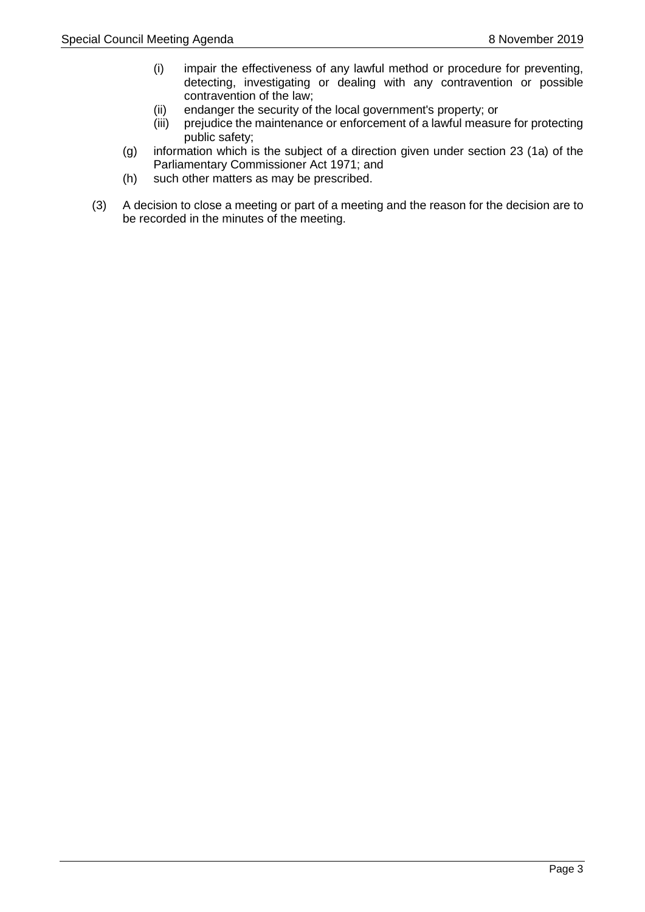- (i) impair the effectiveness of any lawful method or procedure for preventing, detecting, investigating or dealing with any contravention or possible contravention of the law;
- (ii) endanger the security of the local government's property; or
- (iii) prejudice the maintenance or enforcement of a lawful measure for protecting public safety;
- (g) information which is the subject of a direction given under section 23 (1a) of the Parliamentary Commissioner Act 1971; and
- (h) such other matters as may be prescribed.
- (3) A decision to close a meeting or part of a meeting and the reason for the decision are to be recorded in the minutes of the meeting.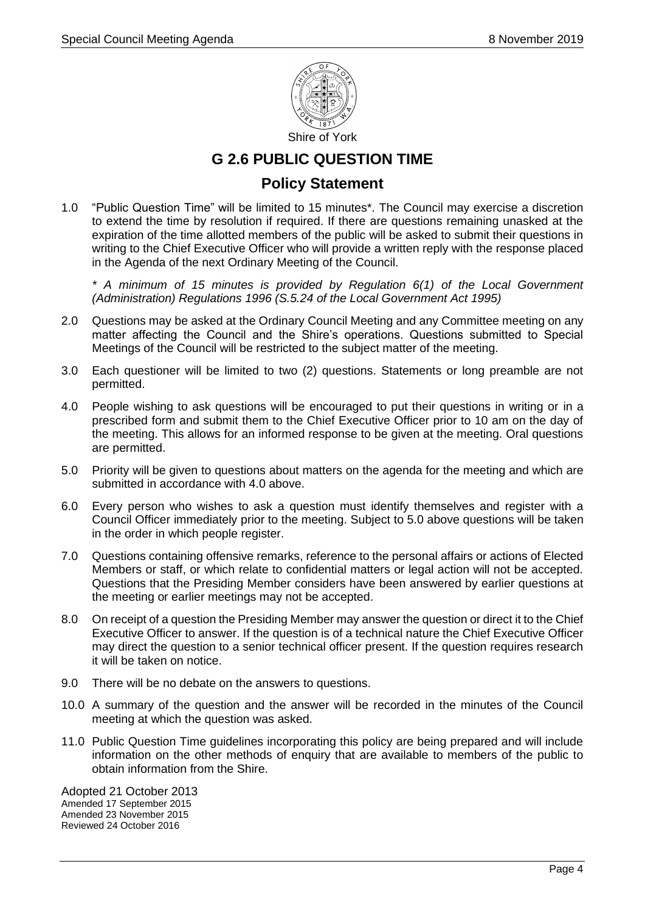

# **G 2.6 PUBLIC QUESTION TIME**

## **Policy Statement**

1.0 "Public Question Time" will be limited to 15 minutes\*. The Council may exercise a discretion to extend the time by resolution if required. If there are questions remaining unasked at the expiration of the time allotted members of the public will be asked to submit their questions in writing to the Chief Executive Officer who will provide a written reply with the response placed in the Agenda of the next Ordinary Meeting of the Council.

*\* A minimum of 15 minutes is provided by Regulation 6(1) of the Local Government (Administration) Regulations 1996 (S.5.24 of the Local Government Act 1995)*

- 2.0 Questions may be asked at the Ordinary Council Meeting and any Committee meeting on any matter affecting the Council and the Shire's operations. Questions submitted to Special Meetings of the Council will be restricted to the subject matter of the meeting.
- 3.0 Each questioner will be limited to two (2) questions. Statements or long preamble are not permitted.
- 4.0 People wishing to ask questions will be encouraged to put their questions in writing or in a prescribed form and submit them to the Chief Executive Officer prior to 10 am on the day of the meeting. This allows for an informed response to be given at the meeting. Oral questions are permitted.
- 5.0 Priority will be given to questions about matters on the agenda for the meeting and which are submitted in accordance with 4.0 above.
- 6.0 Every person who wishes to ask a question must identify themselves and register with a Council Officer immediately prior to the meeting. Subject to 5.0 above questions will be taken in the order in which people register.
- 7.0 Questions containing offensive remarks, reference to the personal affairs or actions of Elected Members or staff, or which relate to confidential matters or legal action will not be accepted. Questions that the Presiding Member considers have been answered by earlier questions at the meeting or earlier meetings may not be accepted.
- 8.0 On receipt of a question the Presiding Member may answer the question or direct it to the Chief Executive Officer to answer. If the question is of a technical nature the Chief Executive Officer may direct the question to a senior technical officer present. If the question requires research it will be taken on notice.
- 9.0 There will be no debate on the answers to questions.
- 10.0 A summary of the question and the answer will be recorded in the minutes of the Council meeting at which the question was asked.
- 11.0 Public Question Time guidelines incorporating this policy are being prepared and will include information on the other methods of enquiry that are available to members of the public to obtain information from the Shire.

Adopted 21 October 2013 Amended 17 September 2015 Amended 23 November 2015 Reviewed 24 October 2016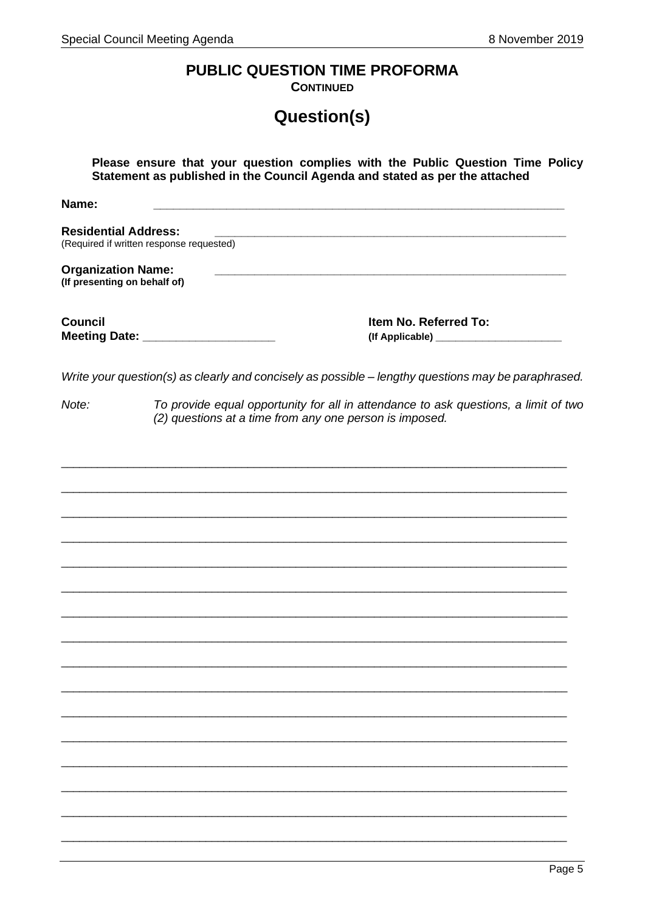# PUBLIC QUESTION TIME PROFORMA

**CONTINUED** 

# Question(s)

| Please ensure that your question complies with the Public Question Time Policy<br>Statement as published in the Council Agenda and stated as per the attached |                                                                                                                                                |  |
|---------------------------------------------------------------------------------------------------------------------------------------------------------------|------------------------------------------------------------------------------------------------------------------------------------------------|--|
| Name:                                                                                                                                                         |                                                                                                                                                |  |
| <b>Residential Address:</b>                                                                                                                                   | (Required if written response requested)                                                                                                       |  |
| <b>Organization Name:</b><br>(If presenting on behalf of)                                                                                                     |                                                                                                                                                |  |
| <b>Council</b>                                                                                                                                                | Item No. Referred To:<br>Meeting Date: _______________________                                                                                 |  |
|                                                                                                                                                               | Write your question(s) as clearly and concisely as possible - lengthy questions may be paraphrased.                                            |  |
| Note:                                                                                                                                                         | To provide equal opportunity for all in attendance to ask questions, a limit of two<br>(2) questions at a time from any one person is imposed. |  |
|                                                                                                                                                               |                                                                                                                                                |  |
|                                                                                                                                                               |                                                                                                                                                |  |
|                                                                                                                                                               |                                                                                                                                                |  |
|                                                                                                                                                               |                                                                                                                                                |  |
|                                                                                                                                                               |                                                                                                                                                |  |
|                                                                                                                                                               |                                                                                                                                                |  |
|                                                                                                                                                               |                                                                                                                                                |  |
|                                                                                                                                                               |                                                                                                                                                |  |
|                                                                                                                                                               |                                                                                                                                                |  |
|                                                                                                                                                               |                                                                                                                                                |  |
|                                                                                                                                                               |                                                                                                                                                |  |
|                                                                                                                                                               |                                                                                                                                                |  |
|                                                                                                                                                               |                                                                                                                                                |  |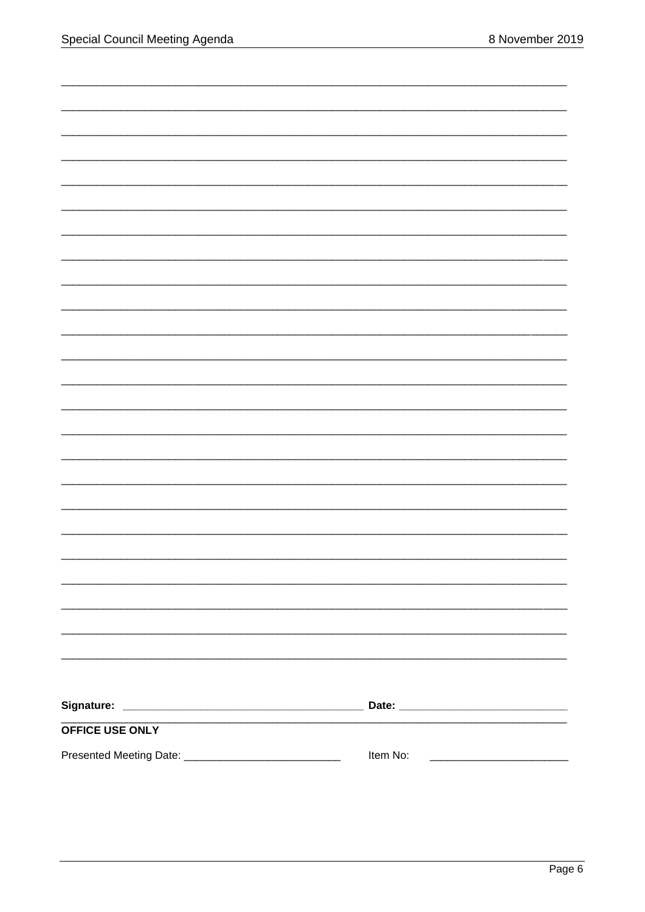| OFFICE USE ONLY |          |
|-----------------|----------|
|                 | Item No: |
|                 |          |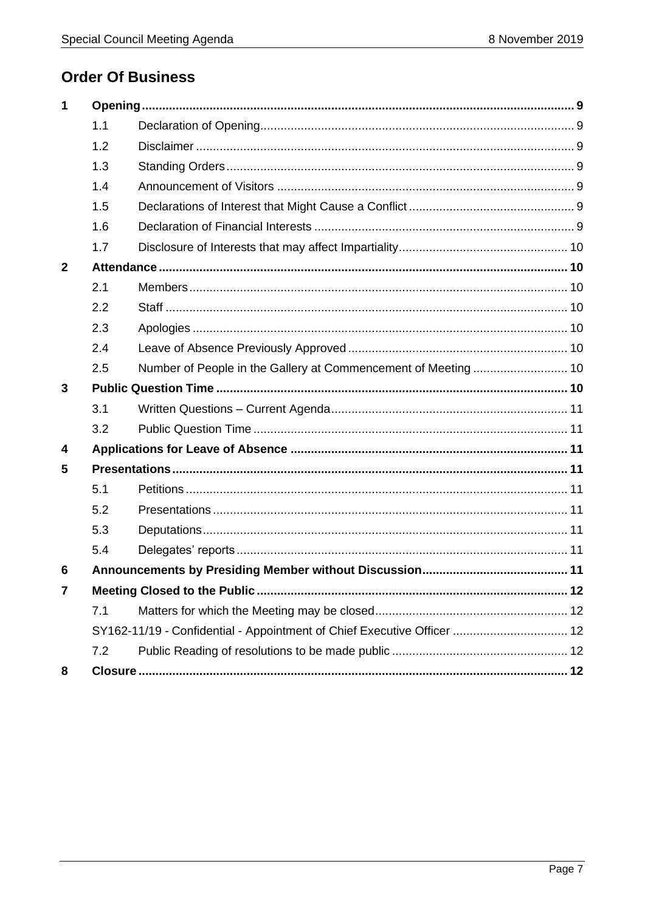# **Order Of Business**

| $\mathbf 1$             |     |                                                                         |  |
|-------------------------|-----|-------------------------------------------------------------------------|--|
|                         | 1.1 |                                                                         |  |
|                         | 1.2 |                                                                         |  |
|                         | 1.3 |                                                                         |  |
|                         | 1.4 |                                                                         |  |
|                         | 1.5 |                                                                         |  |
|                         | 1.6 |                                                                         |  |
|                         | 1.7 |                                                                         |  |
| $\overline{2}$          |     |                                                                         |  |
|                         | 2.1 |                                                                         |  |
|                         | 2.2 |                                                                         |  |
|                         | 2.3 |                                                                         |  |
|                         | 2.4 |                                                                         |  |
|                         | 2.5 | Number of People in the Gallery at Commencement of Meeting  10          |  |
| 3                       |     |                                                                         |  |
|                         | 3.1 |                                                                         |  |
|                         | 3.2 |                                                                         |  |
| $\overline{\mathbf{4}}$ |     |                                                                         |  |
| 5                       |     |                                                                         |  |
|                         | 5.1 |                                                                         |  |
|                         | 5.2 |                                                                         |  |
|                         | 5.3 |                                                                         |  |
|                         | 5.4 |                                                                         |  |
| 6                       |     |                                                                         |  |
| 7                       |     |                                                                         |  |
|                         | 7.1 |                                                                         |  |
|                         |     | SY162-11/19 - Confidential - Appointment of Chief Executive Officer  12 |  |
|                         | 7.2 |                                                                         |  |
| 8                       |     |                                                                         |  |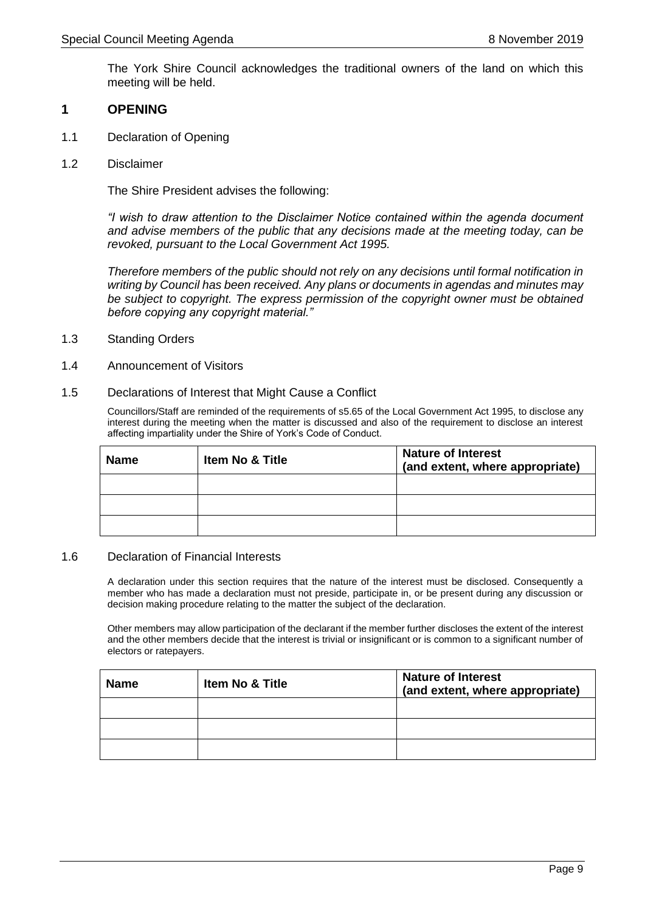The York Shire Council acknowledges the traditional owners of the land on which this meeting will be held.

#### <span id="page-8-0"></span>**1 OPENING**

- <span id="page-8-1"></span>1.1 Declaration of Opening
- <span id="page-8-2"></span>1.2 Disclaimer

The Shire President advises the following:

*"I wish to draw attention to the Disclaimer Notice contained within the agenda document and advise members of the public that any decisions made at the meeting today, can be revoked, pursuant to the Local Government Act 1995.*

*Therefore members of the public should not rely on any decisions until formal notification in writing by Council has been received. Any plans or documents in agendas and minutes may be subject to copyright. The express permission of the copyright owner must be obtained before copying any copyright material."*

- <span id="page-8-3"></span>1.3 Standing Orders
- <span id="page-8-4"></span>1.4 Announcement of Visitors
- <span id="page-8-5"></span>1.5 Declarations of Interest that Might Cause a Conflict

Councillors/Staff are reminded of the requirements of s5.65 of the Local Government Act 1995, to disclose any interest during the meeting when the matter is discussed and also of the requirement to disclose an interest affecting impartiality under the Shire of York's Code of Conduct.

| <b>Name</b> | <b>Item No &amp; Title</b> | <b>Nature of Interest</b><br>(and extent, where appropriate) |
|-------------|----------------------------|--------------------------------------------------------------|
|             |                            |                                                              |
|             |                            |                                                              |
|             |                            |                                                              |

#### <span id="page-8-6"></span>1.6 Declaration of Financial Interests

A declaration under this section requires that the nature of the interest must be disclosed. Consequently a member who has made a declaration must not preside, participate in, or be present during any discussion or decision making procedure relating to the matter the subject of the declaration.

Other members may allow participation of the declarant if the member further discloses the extent of the interest and the other members decide that the interest is trivial or insignificant or is common to a significant number of electors or ratepayers.

| <b>Name</b> | Item No & Title | <b>Nature of Interest</b><br>(and extent, where appropriate) |
|-------------|-----------------|--------------------------------------------------------------|
|             |                 |                                                              |
|             |                 |                                                              |
|             |                 |                                                              |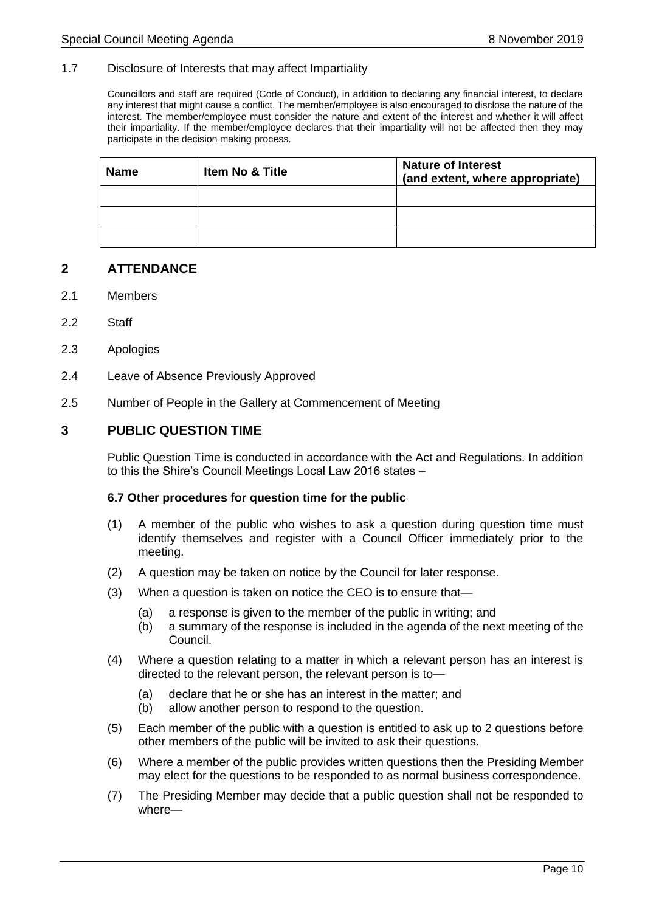#### <span id="page-9-0"></span>1.7 Disclosure of Interests that may affect Impartiality

Councillors and staff are required (Code of Conduct), in addition to declaring any financial interest, to declare any interest that might cause a conflict. The member/employee is also encouraged to disclose the nature of the interest. The member/employee must consider the nature and extent of the interest and whether it will affect their impartiality. If the member/employee declares that their impartiality will not be affected then they may participate in the decision making process.

| <b>Name</b> | <b>Item No &amp; Title</b> | <b>Nature of Interest</b><br>(and extent, where appropriate) |
|-------------|----------------------------|--------------------------------------------------------------|
|             |                            |                                                              |
|             |                            |                                                              |
|             |                            |                                                              |

#### <span id="page-9-1"></span>**2 ATTENDANCE**

- <span id="page-9-2"></span>2.1 Members
- <span id="page-9-3"></span>2.2 Staff
- <span id="page-9-4"></span>2.3 Apologies
- <span id="page-9-5"></span>2.4 Leave of Absence Previously Approved
- <span id="page-9-6"></span>2.5 Number of People in the Gallery at Commencement of Meeting

#### <span id="page-9-7"></span>**3 PUBLIC QUESTION TIME**

Public Question Time is conducted in accordance with the Act and Regulations. In addition to this the Shire's Council Meetings Local Law 2016 states –

#### **6.7 Other procedures for question time for the public**

- (1) A member of the public who wishes to ask a question during question time must identify themselves and register with a Council Officer immediately prior to the meeting.
- (2) A question may be taken on notice by the Council for later response.
- (3) When a question is taken on notice the CEO is to ensure that—
	- (a) a response is given to the member of the public in writing; and
	- (b) a summary of the response is included in the agenda of the next meeting of the Council.
- (4) Where a question relating to a matter in which a relevant person has an interest is directed to the relevant person, the relevant person is to—
	- (a) declare that he or she has an interest in the matter; and
	- (b) allow another person to respond to the question.
- (5) Each member of the public with a question is entitled to ask up to 2 questions before other members of the public will be invited to ask their questions.
- (6) Where a member of the public provides written questions then the Presiding Member may elect for the questions to be responded to as normal business correspondence.
- (7) The Presiding Member may decide that a public question shall not be responded to where—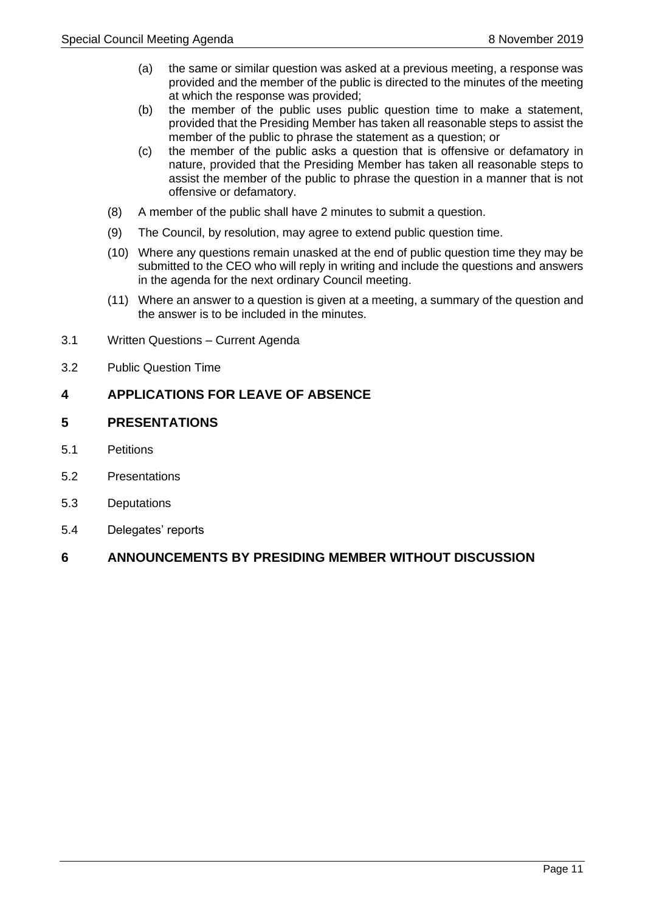- (a) the same or similar question was asked at a previous meeting, a response was provided and the member of the public is directed to the minutes of the meeting at which the response was provided;
- (b) the member of the public uses public question time to make a statement, provided that the Presiding Member has taken all reasonable steps to assist the member of the public to phrase the statement as a question; or
- (c) the member of the public asks a question that is offensive or defamatory in nature, provided that the Presiding Member has taken all reasonable steps to assist the member of the public to phrase the question in a manner that is not offensive or defamatory.
- (8) A member of the public shall have 2 minutes to submit a question.
- (9) The Council, by resolution, may agree to extend public question time.
- (10) Where any questions remain unasked at the end of public question time they may be submitted to the CEO who will reply in writing and include the questions and answers in the agenda for the next ordinary Council meeting.
- (11) Where an answer to a question is given at a meeting, a summary of the question and the answer is to be included in the minutes.
- <span id="page-10-0"></span>3.1 Written Questions – Current Agenda
- <span id="page-10-1"></span>3.2 Public Question Time

## <span id="page-10-2"></span>**4 APPLICATIONS FOR LEAVE OF ABSENCE**

## <span id="page-10-3"></span>**5 PRESENTATIONS**

- <span id="page-10-4"></span>5.1 Petitions
- <span id="page-10-5"></span>5.2 Presentations
- <span id="page-10-6"></span>5.3 Deputations
- <span id="page-10-7"></span>5.4 Delegates' reports

## <span id="page-10-8"></span>**6 ANNOUNCEMENTS BY PRESIDING MEMBER WITHOUT DISCUSSION**